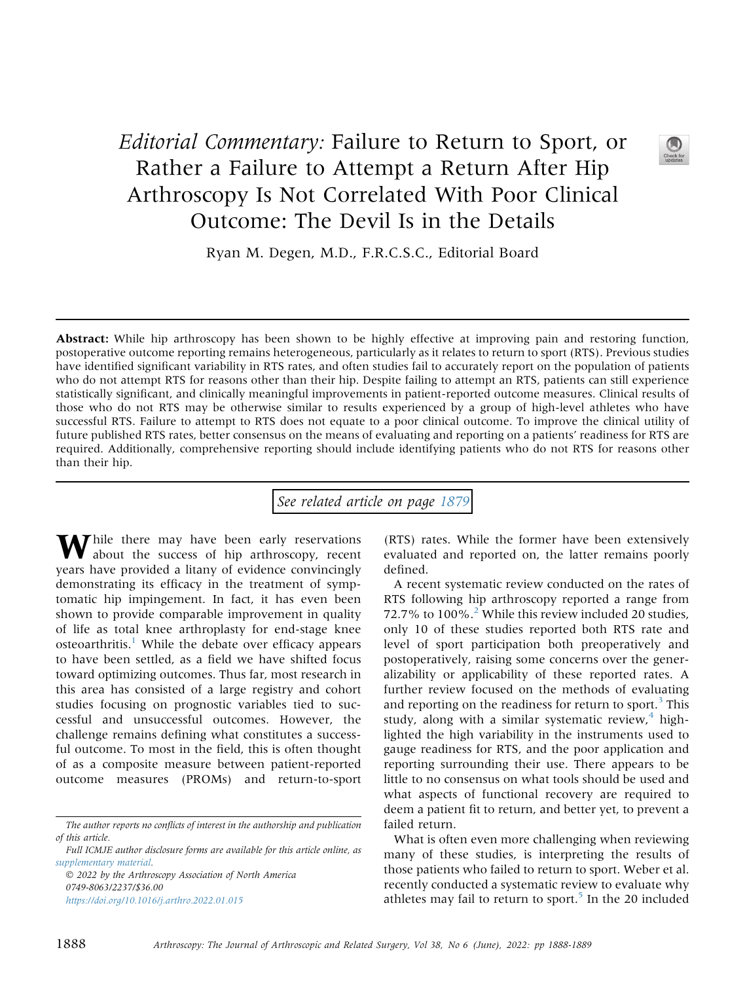## Editorial Commentary: Failure to Return to Sport, or Rather a Failure to Attempt a Return After Hip Arthroscopy Is Not Correlated With Poor Clinical Outcome: The Devil Is in the Details



Ryan M. Degen, M.D., F.R.C.S.C., Editorial Board

Abstract: While hip arthroscopy has been shown to be highly effective at improving pain and restoring function, postoperative outcome reporting remains heterogeneous, particularly as it relates to return to sport (RTS). Previous studies have identified significant variability in RTS rates, and often studies fail to accurately report on the population of patients who do not attempt RTS for reasons other than their hip. Despite failing to attempt an RTS, patients can still experience statistically significant, and clinically meaningful improvements in patient-reported outcome measures. Clinical results of those who do not RTS may be otherwise similar to results experienced by a group of high-level athletes who have successful RTS. Failure to attempt to RTS does not equate to a poor clinical outcome. To improve the clinical utility of future published RTS rates, better consensus on the means of evaluating and reporting on a patients' readiness for RTS are required. Additionally, comprehensive reporting should include identifying patients who do not RTS for reasons other than their hip.

See related article on page [1879](http://www.arthroscopyjournal.org/article/S0749-8063(21)01058-6/abstract)

While there may have been early reservations<br>about the success of hip arthroscopy, recent years have provided a litany of evidence convincingly demonstrating its efficacy in the treatment of symptomatic hip impingement. In fact, it has even been shown to provide comparable improvement in quality of life as total knee arthroplasty for end-stage knee  $osteoarthritis.<sup>1</sup>$  $osteoarthritis.<sup>1</sup>$  $osteoarthritis.<sup>1</sup>$  While the debate over efficacy appears to have been settled, as a field we have shifted focus toward optimizing outcomes. Thus far, most research in this area has consisted of a large registry and cohort studies focusing on prognostic variables tied to successful and unsuccessful outcomes. However, the challenge remains defining what constitutes a successful outcome. To most in the field, this is often thought of as a composite measure between patient-reported outcome measures (PROMs) and return-to-sport

 2022 by the Arthroscopy Association of North America 0749-8063/2237/\$36.00 <https://doi.org/10.1016/j.arthro.2022.01.015>

(RTS) rates. While the former have been extensively evaluated and reported on, the latter remains poorly defined.

A recent systematic review conducted on the rates of RTS following hip arthroscopy reported a range from 7[2](#page-1-1).7% to  $100\%$ <sup>2</sup>. While this review included 20 studies, only 10 of these studies reported both RTS rate and level of sport participation both preoperatively and postoperatively, raising some concerns over the generalizability or applicability of these reported rates. A further review focused on the methods of evaluating and reporting on the readiness for return to sport. $3$  This study, along with a similar systematic review, $4$  highlighted the high variability in the instruments used to gauge readiness for RTS, and the poor application and reporting surrounding their use. There appears to be little to no consensus on what tools should be used and what aspects of functional recovery are required to deem a patient fit to return, and better yet, to prevent a failed return.

What is often even more challenging when reviewing many of these studies, is interpreting the results of those patients who failed to return to sport. Weber et al. recently conducted a systematic review to evaluate why athletes may fail to return to sport. $5$  In the 20 included

The author reports no conflicts of interest in the authorship and publication of this article.

Full ICMJE author disclosure forms are available for this article online, as supplementary material.